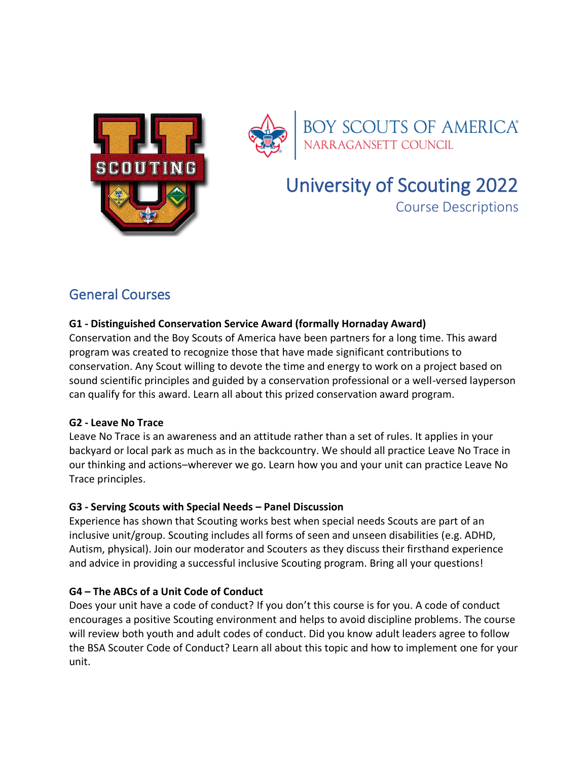



BOY SCOUTS OF AMERICA®<br>NARRAGANSETT COUNCIL

# University of Scouting 2022

Course Descriptions

# General Courses

# **G1 - Distinguished Conservation Service Award (formally Hornaday Award)**

Conservation and the Boy Scouts of America have been partners for a long time. This award program was created to recognize those that have made significant contributions to conservation. Any Scout willing to devote the time and energy to work on a project based on sound scientific principles and guided by a conservation professional or a well-versed layperson can qualify for this award. Learn all about this prized conservation award program.

# **G2 - Leave No Trace**

Leave No Trace is an awareness and an attitude rather than a set of rules. It applies in your backyard or local park as much as in the backcountry. We should all practice Leave No Trace in our thinking and actions–wherever we go. Learn how you and your unit can practice Leave No Trace principles.

# **G3 - Serving Scouts with Special Needs – Panel Discussion**

Experience has shown that Scouting works best when special needs Scouts are part of an inclusive unit/group. Scouting includes all forms of seen and unseen disabilities (e.g. ADHD, Autism, physical). Join our moderator and Scouters as they discuss their firsthand experience and advice in providing a successful inclusive Scouting program. Bring all your questions!

# **G4 – The ABCs of a Unit Code of Conduct**

Does your unit have a code of conduct? If you don't this course is for you. A code of conduct encourages a positive Scouting environment and helps to avoid discipline problems. The course will review both youth and adult codes of conduct. Did you know adult leaders agree to follow the BSA Scouter Code of Conduct? Learn all about this topic and how to implement one for your unit.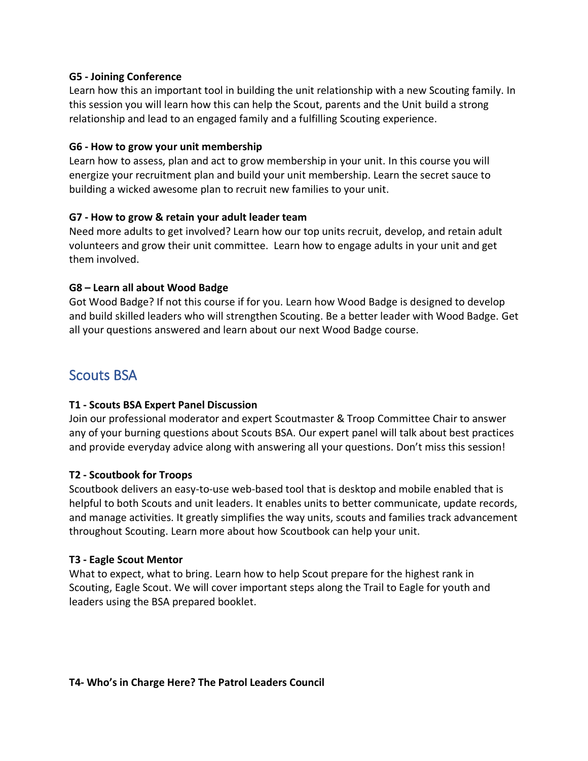#### **G5 - Joining Conference**

Learn how this an important tool in building the unit relationship with a new Scouting family. In this session you will learn how this can help the Scout, parents and the Unit build a strong relationship and lead to an engaged family and a fulfilling Scouting experience.

#### **G6 - How to grow your unit membership**

Learn how to assess, plan and act to grow membership in your unit. In this course you will energize your recruitment plan and build your unit membership. Learn the secret sauce to building a wicked awesome plan to recruit new families to your unit.

#### **G7 - How to grow & retain your adult leader team**

Need more adults to get involved? Learn how our top units recruit, develop, and retain adult volunteers and grow their unit committee. Learn how to engage adults in your unit and get them involved.

#### **G8 – Learn all about Wood Badge**

Got Wood Badge? If not this course if for you. Learn how Wood Badge is designed to develop and build skilled leaders who will strengthen Scouting. Be a better leader with Wood Badge. Get all your questions answered and learn about our next Wood Badge course.

# Scouts BSA

#### **T1 - Scouts BSA Expert Panel Discussion**

Join our professional moderator and expert Scoutmaster & Troop Committee Chair to answer any of your burning questions about Scouts BSA. Our expert panel will talk about best practices and provide everyday advice along with answering all your questions. Don't miss this session!

#### **T2 - Scoutbook for Troops**

Scoutbook delivers an easy-to-use web-based tool that is desktop and mobile enabled that is helpful to both Scouts and unit leaders. It enables units to better communicate, update records, and manage activities. It greatly simplifies the way units, scouts and families track advancement throughout Scouting. Learn more about how Scoutbook can help your unit.

#### **T3 - Eagle Scout Mentor**

What to expect, what to bring. Learn how to help Scout prepare for the highest rank in Scouting, Eagle Scout. We will cover important steps along the Trail to Eagle for youth and leaders using the BSA prepared booklet.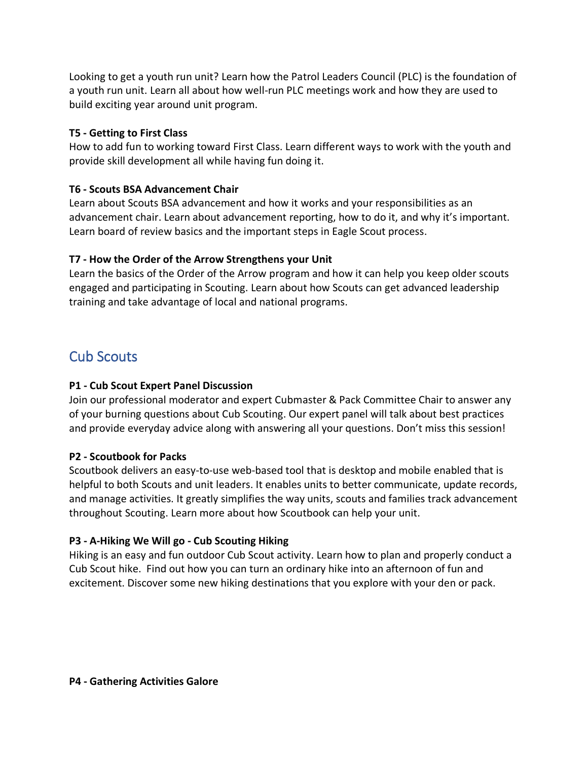Looking to get a youth run unit? Learn how the Patrol Leaders Council (PLC) is the foundation of a youth run unit. Learn all about how well-run PLC meetings work and how they are used to build exciting year around unit program.

### **T5 - Getting to First Class**

How to add fun to working toward First Class. Learn different ways to work with the youth and provide skill development all while having fun doing it.

# **T6 - Scouts BSA Advancement Chair**

Learn about Scouts BSA advancement and how it works and your responsibilities as an advancement chair. Learn about advancement reporting, how to do it, and why it's important. Learn board of review basics and the important steps in Eagle Scout process.

# **T7 - How the Order of the Arrow Strengthens your Unit**

Learn the basics of the Order of the Arrow program and how it can help you keep older scouts engaged and participating in Scouting. Learn about how Scouts can get advanced leadership training and take advantage of local and national programs.

# Cub Scouts

# **P1 - Cub Scout Expert Panel Discussion**

Join our professional moderator and expert Cubmaster & Pack Committee Chair to answer any of your burning questions about Cub Scouting. Our expert panel will talk about best practices and provide everyday advice along with answering all your questions. Don't miss this session!

# **P2 - Scoutbook for Packs**

Scoutbook delivers an easy-to-use web-based tool that is desktop and mobile enabled that is helpful to both Scouts and unit leaders. It enables units to better communicate, update records, and manage activities. It greatly simplifies the way units, scouts and families track advancement throughout Scouting. Learn more about how Scoutbook can help your unit.

# **P3 - A-Hiking We Will go - Cub Scouting Hiking**

Hiking is an easy and fun outdoor Cub Scout activity. Learn how to plan and properly conduct a Cub Scout hike. Find out how you can turn an ordinary hike into an afternoon of fun and excitement. Discover some new hiking destinations that you explore with your den or pack.